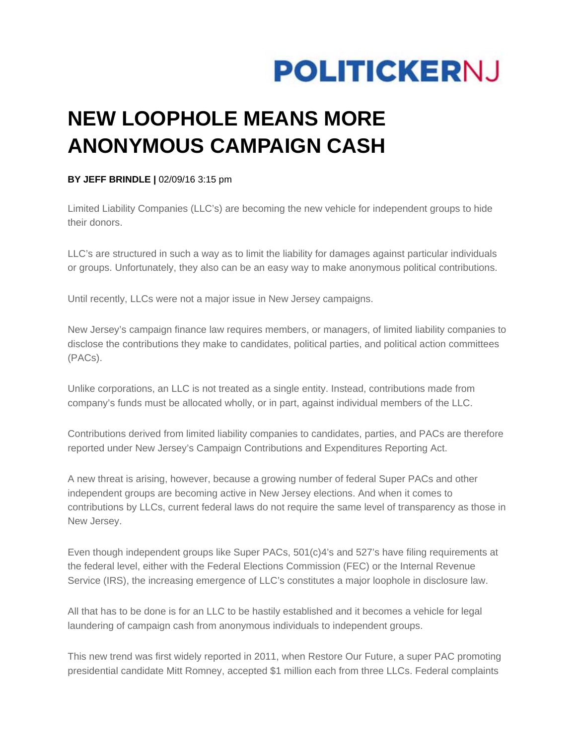

## **NEW LOOPHOLE MEANS MORE ANONYMOUS CAMPAIGN CASH**

## **BY JEFF BRINDLE |** 02/09/16 3:15 pm

Limited Liability Companies (LLC's) are becoming the new vehicle for independent groups to hide their donors.

LLC's are structured in such a way as to limit the liability for damages against particular individuals or groups. Unfortunately, they also can be an easy way to make anonymous political contributions.

Until recently, LLCs were not a major issue in New Jersey campaigns.

New Jersey's campaign finance law requires members, or managers, of limited liability companies to disclose the contributions they make to candidates, political parties, and political action committees (PACs).

Unlike corporations, an LLC is not treated as a single entity. Instead, contributions made from company's funds must be allocated wholly, or in part, against individual members of the LLC.

Contributions derived from limited liability companies to candidates, parties, and PACs are therefore reported under New Jersey's Campaign Contributions and Expenditures Reporting Act.

A new threat is arising, however, because a growing number of federal Super PACs and other independent groups are becoming active in New Jersey elections. And when it comes to contributions by LLCs, current federal laws do not require the same level of transparency as those in New Jersey.

Even though independent groups like Super PACs, 501(c)4's and 527's have filing requirements at the federal level, either with the Federal Elections Commission (FEC) or the Internal Revenue Service (IRS), the increasing emergence of LLC's constitutes a major loophole in disclosure law.

All that has to be done is for an LLC to be hastily established and it becomes a vehicle for legal laundering of campaign cash from anonymous individuals to independent groups.

This new trend was first widely reported in 2011, when Restore Our Future, a super PAC promoting presidential candidate Mitt Romney, accepted \$1 million each from three LLCs. Federal complaints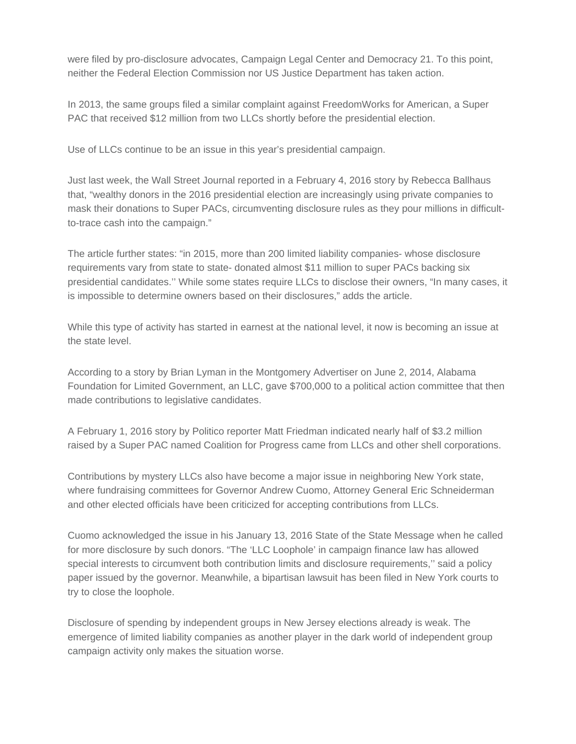were filed by pro-disclosure advocates, Campaign Legal Center and Democracy 21. To this point, neither the Federal Election Commission nor US Justice Department has taken action.

In 2013, the same groups filed a similar complaint against FreedomWorks for American, a Super PAC that received \$12 million from two LLCs shortly before the presidential election.

Use of LLCs continue to be an issue in this year's presidential campaign.

Just last week, the Wall Street Journal reported in a February 4, 2016 story by Rebecca Ballhaus that, "wealthy donors in the 2016 presidential election are increasingly using private companies to mask their donations to Super PACs, circumventing disclosure rules as they pour millions in difficultto-trace cash into the campaign."

The article further states: "in 2015, more than 200 limited liability companies- whose disclosure requirements vary from state to state- donated almost \$11 million to super PACs backing six presidential candidates.'' While some states require LLCs to disclose their owners, "In many cases, it is impossible to determine owners based on their disclosures," adds the article.

While this type of activity has started in earnest at the national level, it now is becoming an issue at the state level.

According to a story by Brian Lyman in the Montgomery Advertiser on June 2, 2014, Alabama Foundation for Limited Government, an LLC, gave \$700,000 to a political action committee that then made contributions to legislative candidates.

A February 1, 2016 story by Politico reporter Matt Friedman indicated nearly half of \$3.2 million raised by a Super PAC named Coalition for Progress came from LLCs and other shell corporations.

Contributions by mystery LLCs also have become a major issue in neighboring New York state, where fundraising committees for Governor Andrew Cuomo, Attorney General Eric Schneiderman and other elected officials have been criticized for accepting contributions from LLCs.

Cuomo acknowledged the issue in his January 13, 2016 State of the State Message when he called for more disclosure by such donors. "The 'LLC Loophole' in campaign finance law has allowed special interests to circumvent both contribution limits and disclosure requirements,'' said a policy paper issued by the governor. Meanwhile, a bipartisan lawsuit has been filed in New York courts to try to close the loophole.

Disclosure of spending by independent groups in New Jersey elections already is weak. The emergence of limited liability companies as another player in the dark world of independent group campaign activity only makes the situation worse.